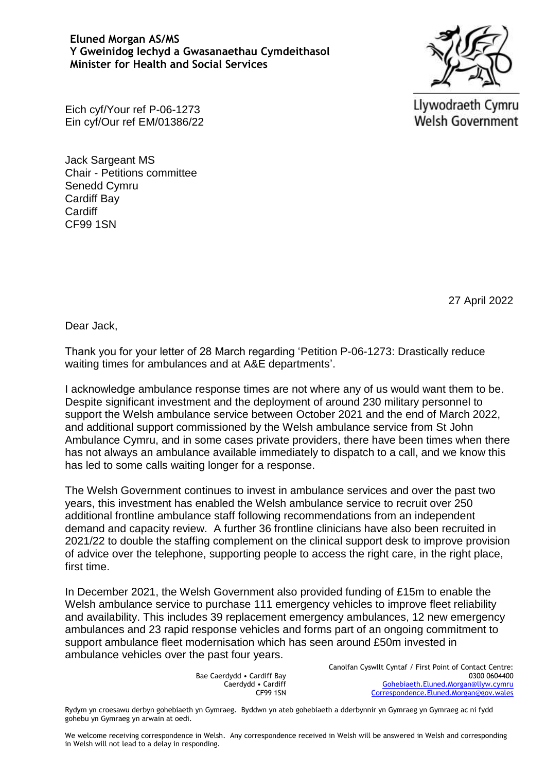## **Eluned Morgan AS/MS Y Gweinidog Iechyd a Gwasanaethau Cymdeithasol Minister for Health and Social Services**



Eich cyf/Your ref P-06-1273 Ein cyf/Our ref EM/01386/22 Llywodraeth Cymru **Welsh Government** 

Jack Sargeant MS Chair - Petitions committee Senedd Cymru Cardiff Bay **Cardiff** CF99 1SN

27 April 2022

Dear Jack,

Thank you for your letter of 28 March regarding 'Petition P-06-1273: Drastically reduce waiting times for ambulances and at A&E departments'.

I acknowledge ambulance response times are not where any of us would want them to be. Despite significant investment and the deployment of around 230 military personnel to support the Welsh ambulance service between October 2021 and the end of March 2022, and additional support commissioned by the Welsh ambulance service from St John Ambulance Cymru, and in some cases private providers, there have been times when there has not always an ambulance available immediately to dispatch to a call, and we know this has led to some calls waiting longer for a response.

The Welsh Government continues to invest in ambulance services and over the past two years, this investment has enabled the Welsh ambulance service to recruit over 250 additional frontline ambulance staff following recommendations from an independent demand and capacity review. A further 36 frontline clinicians have also been recruited in 2021/22 to double the staffing complement on the clinical support desk to improve provision of advice over the telephone, supporting people to access the right care, in the right place, first time.

In December 2021, the Welsh Government also provided funding of £15m to enable the Welsh ambulance service to purchase 111 emergency vehicles to improve fleet reliability and availability. This includes 39 replacement emergency ambulances, 12 new emergency ambulances and 23 rapid response vehicles and forms part of an ongoing commitment to support ambulance fleet modernisation which has seen around £50m invested in ambulance vehicles over the past four years.

> Bae Caerdydd • Cardiff Bay Caerdydd • Cardiff CF99 1SN

Canolfan Cyswllt Cyntaf / First Point of Contact Centre: 0300 0604400 [Gohebiaeth.Eluned.Morgan@llyw.cymru](mailto:Gohebiaeth.Eluned.Morgan@llyw.cymru) [Correspondence.Eluned.Morgan@gov.wales](mailto:Correspondence.Eluned.Morgan@gov.wales)

Rydym yn croesawu derbyn gohebiaeth yn Gymraeg. Byddwn yn ateb gohebiaeth a dderbynnir yn Gymraeg yn Gymraeg ac ni fydd gohebu yn Gymraeg yn arwain at oedi.

We welcome receiving correspondence in Welsh. Any correspondence received in Welsh will be answered in Welsh and corresponding in Welsh will not lead to a delay in responding.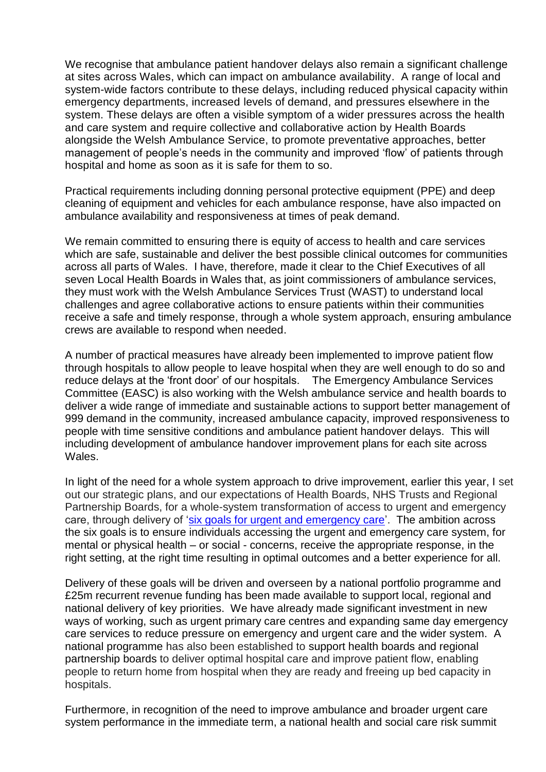We recognise that ambulance patient handover delays also remain a significant challenge at sites across Wales, which can impact on ambulance availability. A range of local and system-wide factors contribute to these delays, including reduced physical capacity within emergency departments, increased levels of demand, and pressures elsewhere in the system. These delays are often a visible symptom of a wider pressures across the health and care system and require collective and collaborative action by Health Boards alongside the Welsh Ambulance Service, to promote preventative approaches, better management of people's needs in the community and improved 'flow' of patients through hospital and home as soon as it is safe for them to so.

Practical requirements including donning personal protective equipment (PPE) and deep cleaning of equipment and vehicles for each ambulance response, have also impacted on ambulance availability and responsiveness at times of peak demand.

We remain committed to ensuring there is equity of access to health and care services which are safe, sustainable and deliver the best possible clinical outcomes for communities across all parts of Wales. I have, therefore, made it clear to the Chief Executives of all seven Local Health Boards in Wales that, as joint commissioners of ambulance services, they must work with the Welsh Ambulance Services Trust (WAST) to understand local challenges and agree collaborative actions to ensure patients within their communities receive a safe and timely response, through a whole system approach, ensuring ambulance crews are available to respond when needed.

A number of practical measures have already been implemented to improve patient flow through hospitals to allow people to leave hospital when they are well enough to do so and reduce delays at the 'front door' of our hospitals. The Emergency Ambulance Services Committee (EASC) is also working with the Welsh ambulance service and health boards to deliver a wide range of immediate and sustainable actions to support better management of 999 demand in the community, increased ambulance capacity, improved responsiveness to people with time sensitive conditions and ambulance patient handover delays. This will including development of ambulance handover improvement plans for each site across Wales.

In light of the need for a whole system approach to drive improvement, earlier this year, I set out our strategic plans, and our expectations of Health Boards, NHS Trusts and Regional Partnership Boards, for a whole-system transformation of access to urgent and emergency care, through delivery of ['six goals for urgent and emergency care'](https://gov.wales/written-statement-six-goals-urgent-and-emergency-care-policy-handbook). The ambition across the six goals is to ensure individuals accessing the urgent and emergency care system, for mental or physical health – or social - concerns, receive the appropriate response, in the right setting, at the right time resulting in optimal outcomes and a better experience for all.

Delivery of these goals will be driven and overseen by a national portfolio programme and £25m recurrent revenue funding has been made available to support local, regional and national delivery of key priorities. We have already made significant investment in new ways of working, such as urgent primary care centres and expanding same day emergency care services to reduce pressure on emergency and urgent care and the wider system. A national programme has also been established to support health boards and regional partnership boards to deliver optimal hospital care and improve patient flow, enabling people to return home from hospital when they are ready and freeing up bed capacity in hospitals.

Furthermore, in recognition of the need to improve ambulance and broader urgent care system performance in the immediate term, a national health and social care risk summit